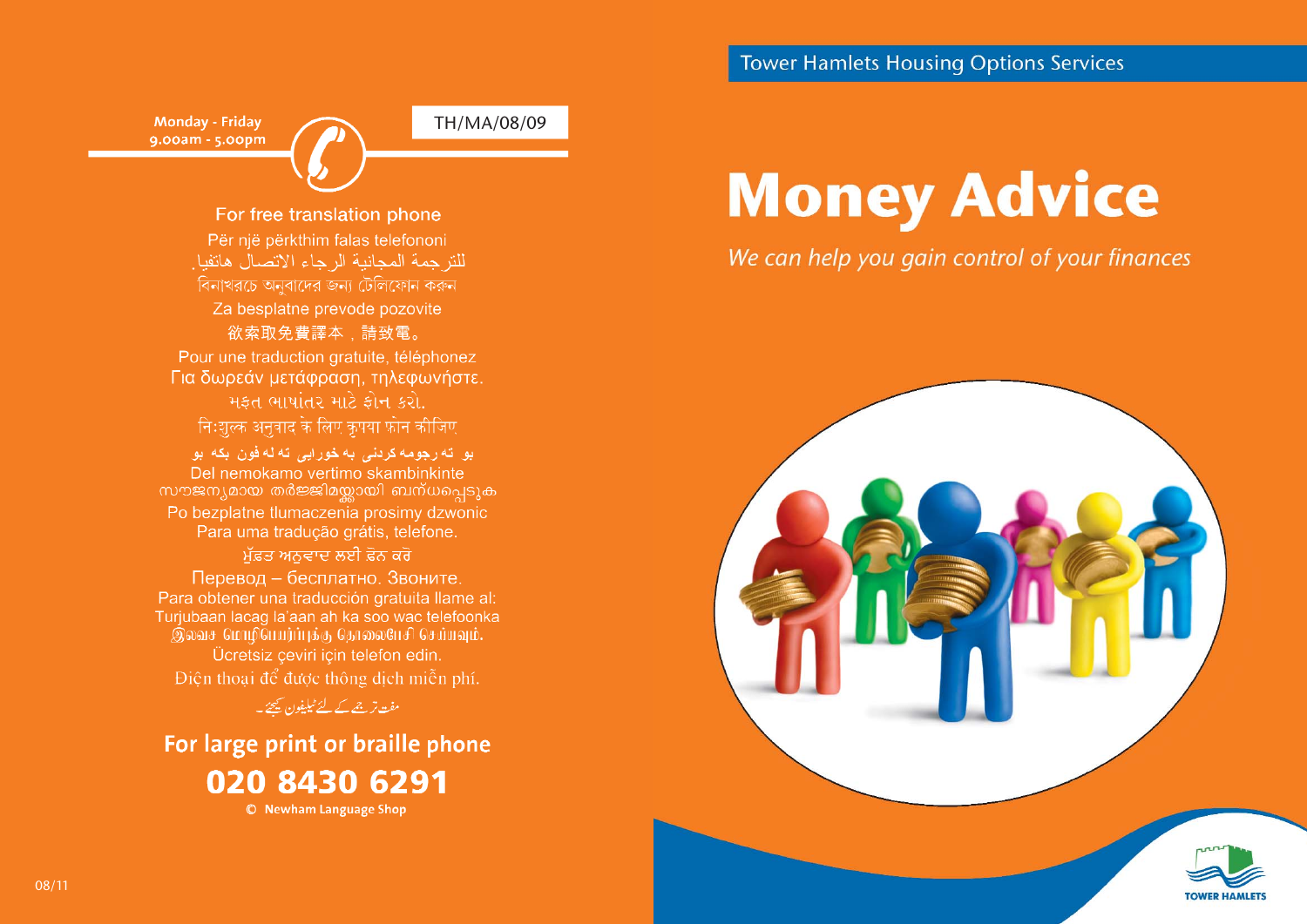#### **Tower Hamlets Housing Options Services**

Monday - Friday 9.00am - 5.00pm TH/MA/08/09

For free translation phone Për një përkthim falas telefononi للتز جمة المجانية الرجاء الاتصال هاتفيا. বিনাখরচে অনুবাদের জন্য টেলিফোন করুন Za besplatne prevode pozovite 欲索取免費譯本、請致電。

Pour une traduction gratuite, téléphonez Για δωρεάν μετάφραση, τηλεφωνήστε. મફત ભાષાંતર માટે ફોન કરો. निःशल्क अनुवाद के लिए कृपया फ़ोन कीजिए

بو ته رجومه کردنی به خورایی ته له فون بکه بو Del nemokamo vertimo skambinkinte സൗജന്യമായ തർജ്ജിമയ്ലായി ബന്ധപ്പെടുക Po bezplatne tlumaczenia prosimy dzwonic Para uma tradução grátis, telefone. ਮੱਫ਼ਤ ਅਨਵਾਦ ਲਈ ਫ਼ੋਨ ਕਰੋ Перевод - бесплатно. Звоните. Para obtener una traducción gratuita llame al: Turjubaan lacag la'aan ah ka soo wac telefoonka இலவச மொழிபெயர்ப்புக்கு தொலைபேசி செய்யவும். Ücretsiz çeviri için telefon edin. Điện thoại để được thông dịch miễn phí.

مفت ترج<u>مے کے لئے ٹیلیفون کیجئے</u>۔

For large print or braille phone 020 8430 6291 © Newham Language Shop

# **Money Advice**

#### We can help you gain control of your finances

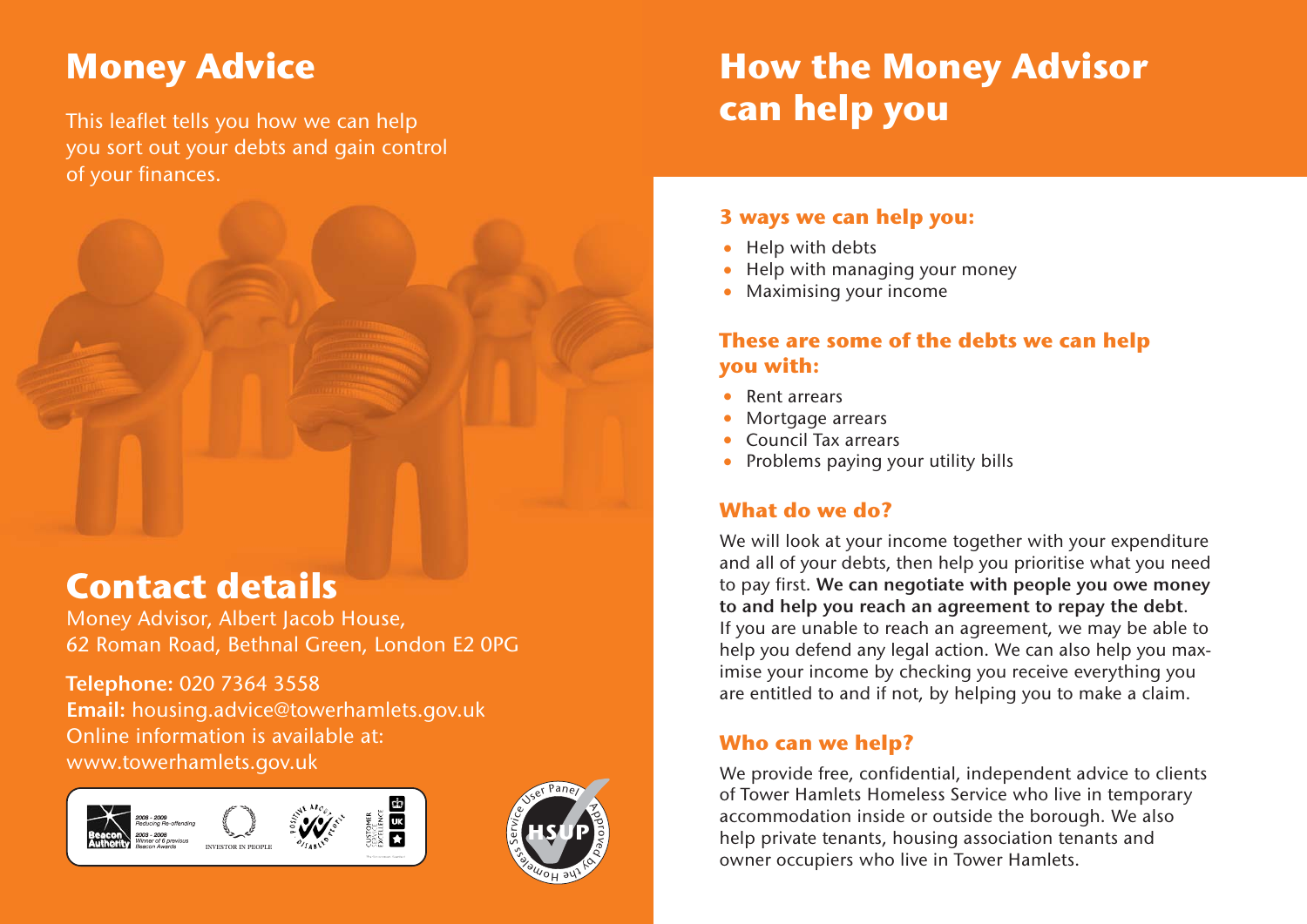# **Money Advice**

This leaflet tells you how we can help you sort out your debts and gain control of your finances.



### **Contact details**

Money Advisor, Albert Jacob House, 62 Roman Road, Bethnal Green, London E2 0PG

**Telephone:** 020 7364 3558 **Email:** housing.advice@towerhamlets.gov.uk Online information is available at: www.towerhamlets.gov.uk





# **How the Money Advisor can help you**

#### **3 ways we can help you:**

- **•**Help with debts
- **•**Help with managing your money
- **•**Maximising your income

#### **These are some of the debts we can help you with:**

- **•**Rent arrears
- **•**Mortgage arrears
- **•**Council Tax arrears
- **•**Problems paying your utility bills

#### **What do we do?**

We will look at your income together with your expenditure and all of your debts, then help you prioritise what you need to pay first. **We can negotiate with people you owe money to and help you reach an agreement to repay the debt**. If you are unable to reach an agreement, we may be able to help you defend any legal action. We can also help you maximise your income by checking you receive everything you are entitled to and if not, by helping you to make a claim.

#### **Who can we help?**

We provide free, confidential, independent advice to clients of Tower Hamlets Homeless Service who live in temporary accommodation inside or outside the borough. We also help private tenants, housing association tenants and owner occupiers who live in Tower Hamlets.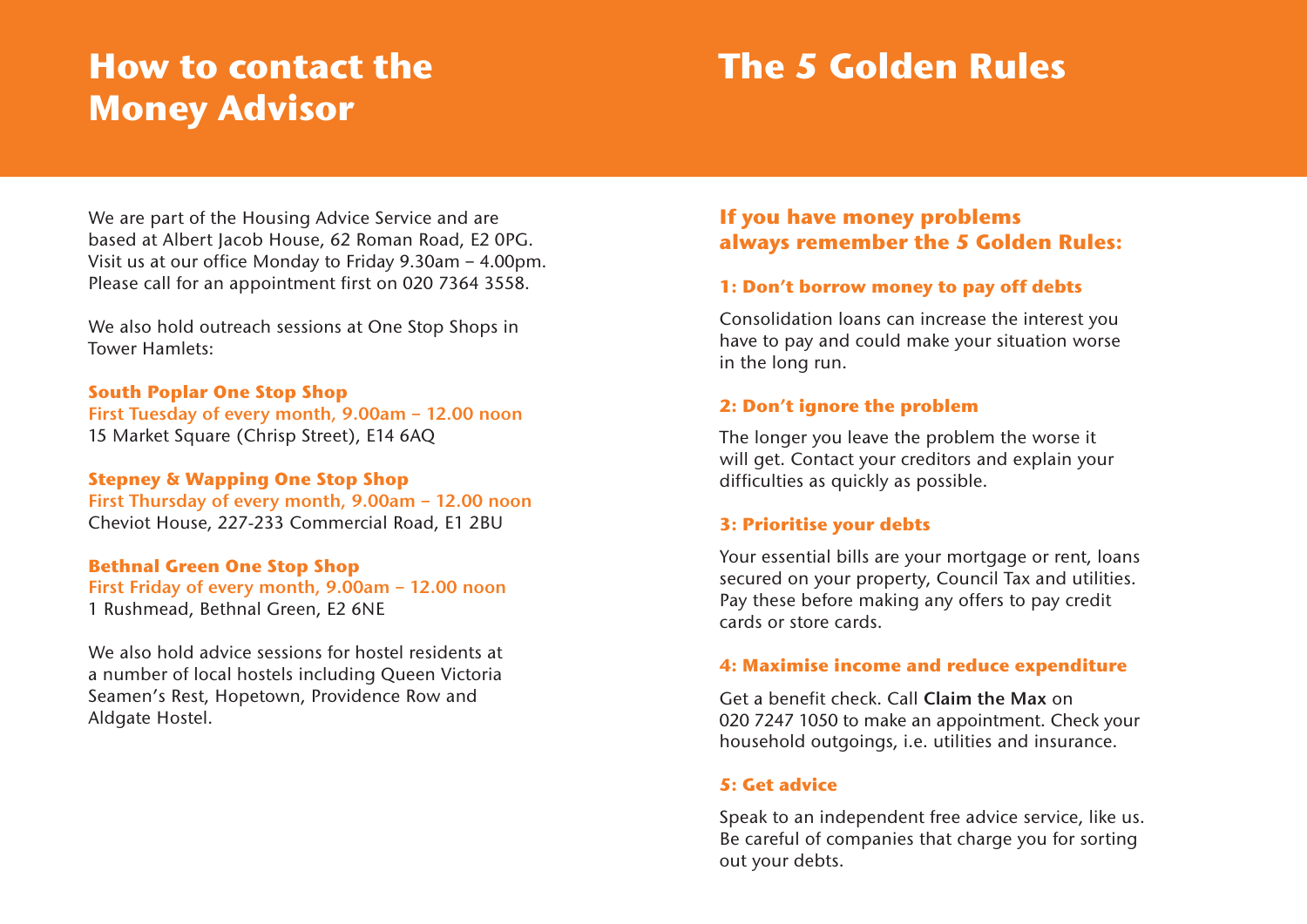### **How to contact the Money Advisor**

### **The 5 Golden Rules**

We are part of the Housing Advice Service and are based at Albert Jacob House, 62 Roman Road, E2 0PG. Visit us at our office Monday to Friday 9.30am – 4.00pm. Please call for an appointment first on 020 7364 3558.

We also hold outreach sessions at One Stop Shops in Tower Hamlets:

#### **South Poplar One Stop Shop**

**First Tuesday of every month, 9.00am – 12.00 noon** 15 Market Square (Chrisp Street), E14 6AQ

#### **Stepney & Wapping One Stop Shop**

**First Thursday of every month, 9.00am – 12.00 noon** Cheviot House, 227-233 Commercial Road, E1 2BU

#### **Bethnal Green One Stop Shop**

**First Friday of every month, 9.00am – 12.00 noon** 1 Rushmead, Bethnal Green, E2 6NE

We also hold advice sessions for hostel residents at a number of local hostels including Queen Victoria Seamen's Rest, Hopetown, Providence Row and Aldgate Hostel.

#### **If you have money problems always remember the 5 Golden Rules:**

#### **1: Don't borrow money to pay off debts**

Consolidation loans can increase the interest you have to pay and could make your situation worse in the long run.

#### **2: Don't ignore the problem**

The longer you leave the problem the worse it will get. Contact your creditors and explain your difficulties as quickly as possible.

#### **3: Prioritise your debts**

Your essential bills are your mortgage or rent, loans secured on your property, Council Tax and utilities. Pay these before making any offers to pay credit cards or store cards.

#### **4: Maximise income and reduce expenditure**

Get a benefit check. Call **Claim the Max** on 020 7247 1050 to make an appointment. Check your household outgoings, i.e. utilities and insurance.

#### **5: Get advice**

Speak to an independent free advice service, like us. Be careful of companies that charge you for sorting out your debts.